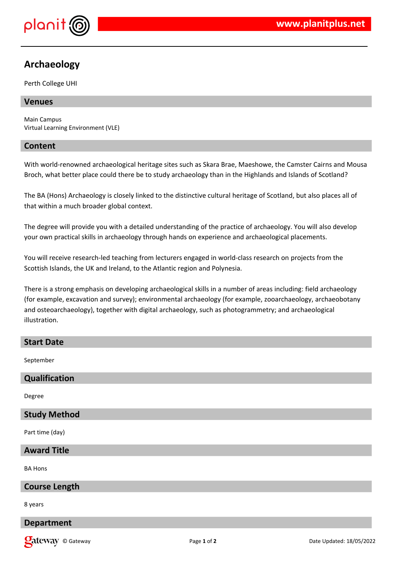

# **Archaeology**

Perth College UHI

## **Venues**

Main Campus Virtual Learning Environment (VLE)

#### **Content**

With world-renowned archaeological heritage sites such as Skara Brae, Maeshowe, the Camster Cairns and Mousa Broch, what better place could there be to study archaeology than in the Highlands and Islands of Scotland?

The BA (Hons) Archaeology is closely linked to the distinctive cultural heritage of Scotland, but also places all of that within a much broader global context.

The degree will provide you with a detailed understanding of the practice of archaeology. You will also develop your own practical skills in archaeology through hands on experience and archaeological placements.

You will receive research-led teaching from lecturers engaged in world-class research on projects from the Scottish Islands, the UK and Ireland, to the Atlantic region and Polynesia.

There is a strong emphasis on developing archaeological skills in a number of areas including: field archaeology (for example, excavation and survey); environmental archaeology (for example, zooarchaeology, archaeobotany and osteoarchaeology), together with digital archaeology, such as photogrammetry; and archaeological illustration.

## **Start Date**

September

## **Qualification**

Degree

#### **Study Method**

Part time (day)

#### **Award Title**

BA Hons

#### **Course Length**

8 years

#### **Department**

**Qateway** © Gateway **Page 1** of 2 **Date Updated: 18/05/2022** Date Updated: 18/05/2022